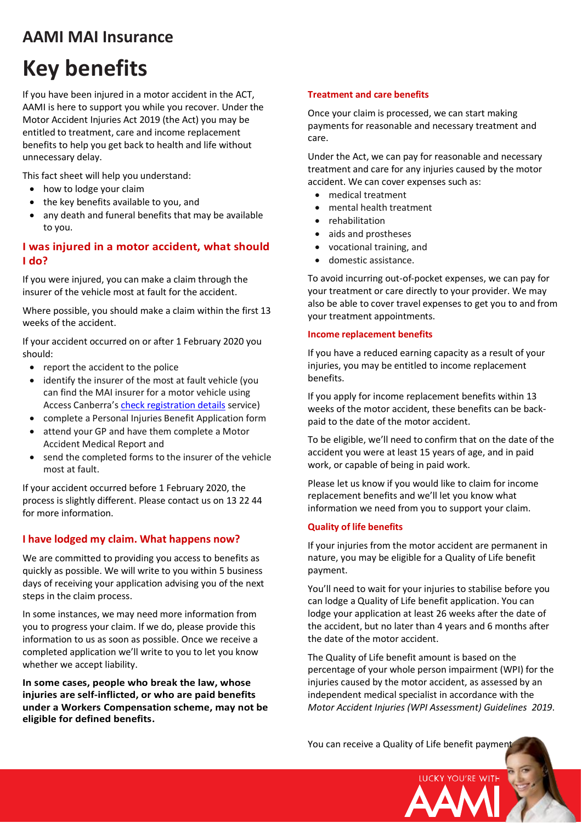# **AAMI MAI Insurance**

# **Key benefits**

If you have been injured in a motor accident in the ACT, AAMI is here to support you while you recover. Under the Motor Accident Injuries Act 2019 (the Act) you may be entitled to treatment, care and income replacement benefits to help you get back to health and life without unnecessary delay.

This fact sheet will help you understand:

- how to lodge your claim
- the key benefits available to you, and
- any death and funeral benefits that may be available to you.

# **I was injured in a motor accident, what should I do?**

If you were injured, you can make a claim through the insurer of the vehicle most at fault for the accident.

Where possible, you should make a claim within the first 13 weeks of the accident.

If your accident occurred on or after 1 February 2020 you should:

- report the accident to the police
- identify the insurer of the most at fault vehicle (you can find the MAI insurer for a motor vehicle using Access Canberra's [check registration details](https://rego.act.gov.au/regosoawicket/public/reg/FindRegistrationPage) service)
- complete a Personal Injuries Benefit Application form
- attend your GP and have them complete a Motor Accident Medical Report and
- send the completed forms to the insurer of the vehicle most at fault.

If your accident occurred before 1 February 2020, the process is slightly different. Please contact us on 13 22 44 for more information.

# **I have lodged my claim. What happens now?**

We are committed to providing you access to benefits as quickly as possible. We will write to you within 5 business days of receiving your application advising you of the next steps in the claim process.

In some instances, we may need more information from you to progress your claim. If we do, please provide this information to us as soon as possible. Once we receive a completed application we'll write to you to let you know whether we accept liability.

**In some cases, people who break the law, whose injuries are self-inflicted, or who are paid benefits under a Workers Compensation scheme, may not be eligible for defined benefits.**

#### **Treatment and care benefits**

Once your claim is processed, we can start making payments for reasonable and necessary treatment and care.

Under the Act, we can pay for reasonable and necessary treatment and care for any injuries caused by the motor accident. We can cover expenses such as:

- medical treatment
- mental health treatment
- rehabilitation
- aids and prostheses
- vocational training, and
- domestic assistance.

To avoid incurring out-of-pocket expenses, we can pay for your treatment or care directly to your provider. We may also be able to cover travel expenses to get you to and from your treatment appointments.

#### **Income replacement benefits**

If you have a reduced earning capacity as a result of your injuries, you may be entitled to income replacement benefits.

If you apply for income replacement benefits within 13 weeks of the motor accident, these benefits can be backpaid to the date of the motor accident.

To be eligible, we'll need to confirm that on the date of the accident you were at least 15 years of age, and in paid work, or capable of being in paid work.

Please let us know if you would like to claim for income replacement benefits and we'll let you know what information we need from you to support your claim.

#### **Quality of life benefits**

If your injuries from the motor accident are permanent in nature, you may be eligible for a Quality of Life benefit payment.

You'll need to wait for your injuries to stabilise before you can lodge a Quality of Life benefit application. You can lodge your application at least 26 weeks after the date of the accident, but no later than 4 years and 6 months after the date of the motor accident.

The Quality of Life benefit amount is based on the percentage of your whole person impairment (WPI) for the injuries caused by the motor accident, as assessed by an independent medical specialist in accordance with the *Motor Accident Injuries (WPI Assessment) Guidelines 2019*.

**UCKY YOU'RE WITH** 

You can receive a Quality of Life benefit payment